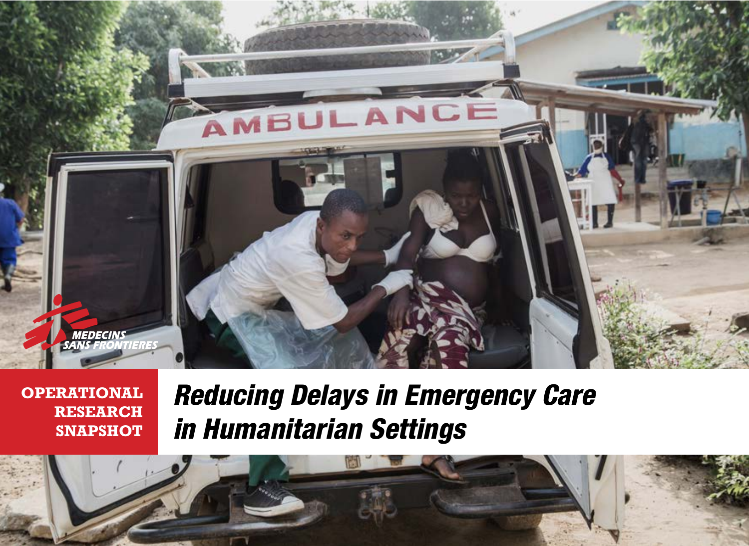

**OPERATIONAL RESEARCH SNAPSHOT**

## *Reducing Delays in Emergency Care in Humanitarian Settings*

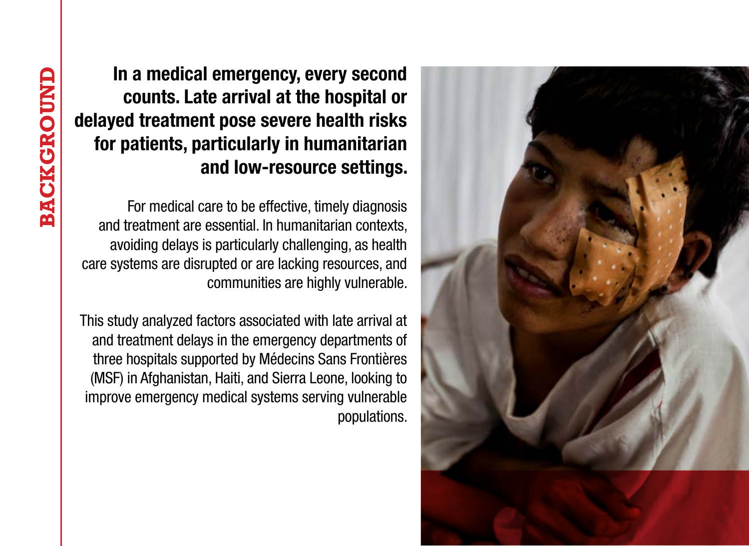

In a medical emergency, every second counts. Late arrival at the hospital or delayed treatment pose severe health risks for patients, particularly in humanitarian and low-resource settings.

For medical care to be effective, timely diagnosis and treatment are essential. In humanitarian contexts, avoiding delays is particularly challenging, as health care systems are disrupted or are lacking resources, and communities are highly vulnerable.

This study analyzed factors associated with late arrival at and treatment delays in the emergency departments of three hospitals supported by Médecins Sans Frontières (MSF) in Afghanistan, Haiti, and Sierra Leone, looking to improve emergency medical systems serving vulnerable populations.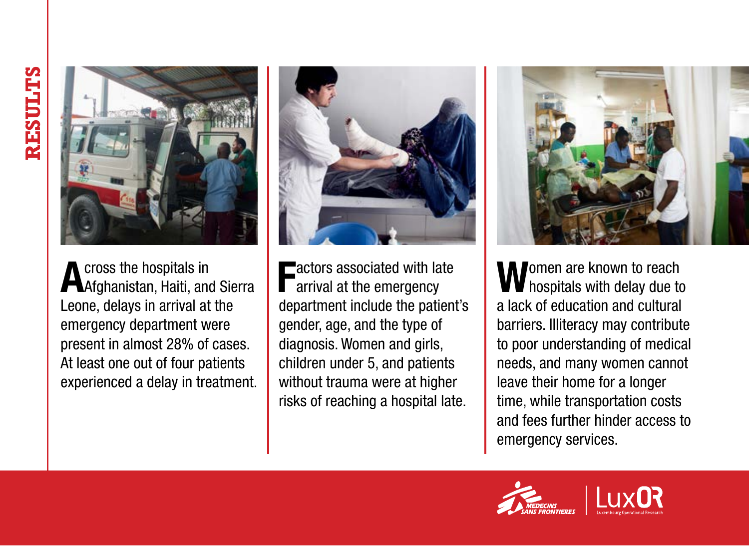

Across the hospitals in<br>Afghanistan, Haiti, and Sierra Leone, delays in arrival at the emergency department were present in almost 28% of cases. At least one out of four patients experienced a delay in treatment.



Factors associated with late arrival at the emergency department include the patient's gender, age, and the type of diagnosis. Women and girls, children under 5, and patients without trauma were at higher risks of reaching a hospital late.



Momen are known to reach  $\blacksquare$  hospitals with delay due to a lack of education and cultural barriers. Illiteracy may contribute to poor understanding of medical needs, and many women cannot leave their home for a longer time, while transportation costs and fees further hinder access to emergency services.